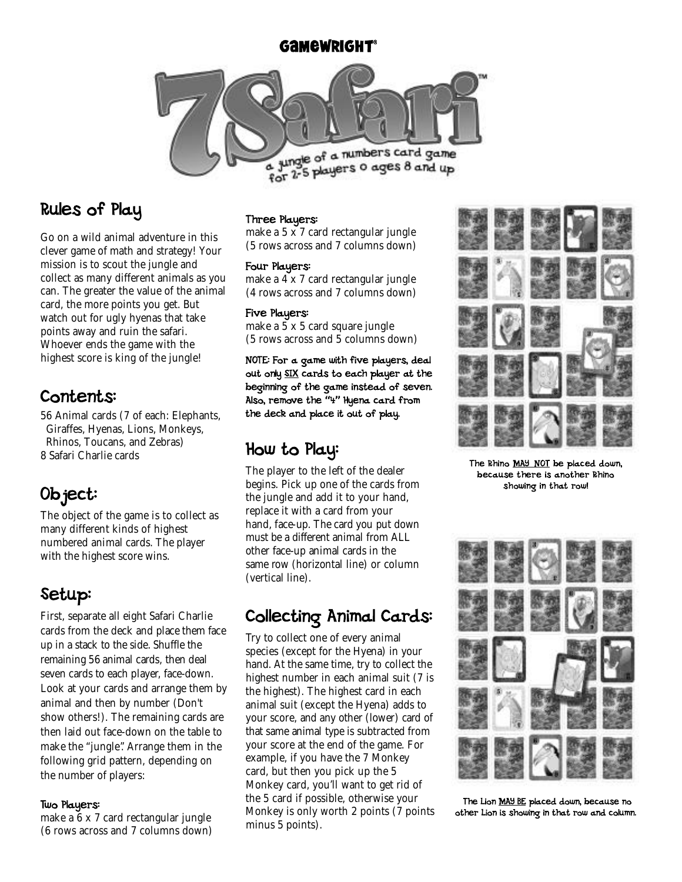#### **GAMEWRIGHT®**



### Rules of Play

Go on a wild animal adventure in this clever game of math and strategy! Your mission is to scout the jungle and collect as many different animals as you can. The greater the value of the animal card, the more points you get. But watch out for ugly hyenas that take points away and ruin the safari. Whoever ends the game with the highest score is king of the jungle!

### Contents:

56 Animal cards (7 of each: Elephants, Giraffes, Hyenas, Lions, Monkeys, Rhinos, Toucans, and Zebras) 8 Safari Charlie cards

# Object:

The object of the game is to collect as many different kinds of highest numbered animal cards. The player with the highest score wins.

# Setup:

First, separate all eight Safari Charlie cards from the deck and place them face up in a stack to the side. Shuffle the remaining 56 animal cards, then deal seven cards to each player, face-down. Look at your cards and arrange them by animal and then by number (Don't show others!). The remaining cards are then laid out face-down on the table to make the "jungle". Arrange them in the following grid pattern, depending on the number of players:

#### Two Players:

make a 6 x 7 card rectangular jungle (6 rows across and 7 columns down)

#### Three Players:

make a 5 x 7 card rectangular jungle (5 rows across and 7 columns down)

#### Four Players:

make a 4 x 7 card rectangular jungle (4 rows across and 7 columns down)

#### Five Players:

make a 5 x 5 card square jungle (5 rows across and 5 columns down)

NOTE: For a game with five players, deal out only SIX cards to each player at the beginning of the game instead of seven. Also, remove the "4" Hyena card from the deck and place it out of play.

### How to Play:

The player to the left of the dealer begins. Pick up one of the cards from the jungle and add it to your hand, replace it with a card from your hand, face-up. The card you put down must be a different animal from ALL other face-up animal cards in the same row (horizontal line) or column (vertical line).

### Collecting Animal Cards:

Try to collect one of every animal species (except for the Hyena) in your hand. At the same time, try to collect the highest number in each animal suit (7 is the highest). The highest card in each animal suit (except the Hyena) adds to your score, and any other (lower) card of that same animal type is subtracted from your score at the end of the game. For example, if you have the 7 Monkey card, but then you pick up the 5 Monkey card, you'll want to get rid of the 5 card if possible, otherwise your Monkey is only worth 2 points (7 points minus 5 points).



The Rhino MAY NOT be placed down, because there is another Rhino showing in that row!



The Lion MAY BE placed down, because no other Lion is showing in that row and column.